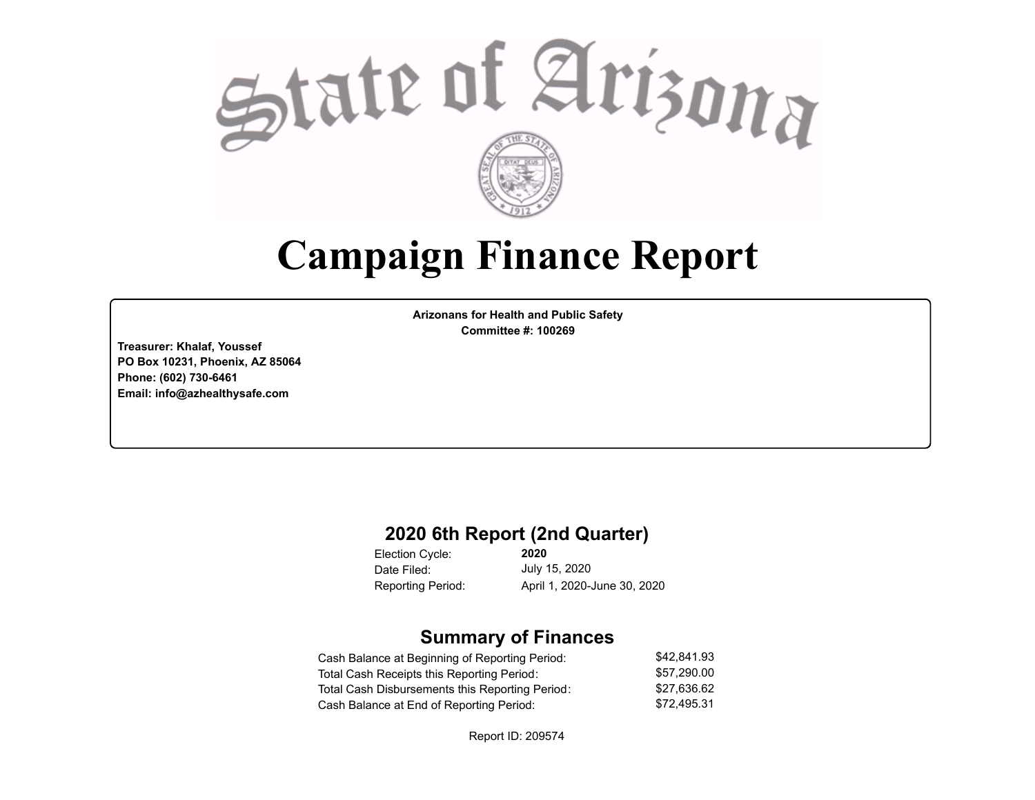

# **Campaign Finance Report**

**Arizonans for Health and Public Safety Committee #: 100269**

**Treasurer: Khalaf, Youssef PO Box 10231, Phoenix, AZ 85064 Phone: (602) 730-6461 Email: info@azhealthysafe.com**

### **2020 6th Report (2nd Quarter)**

**2020** Election Cycle: Date Filed: Reporting Period: April 1, 2020-June 30, 2020

July 15, 2020

## **Summary of Finances**

| Cash Balance at Beginning of Reporting Period:  | \$42.841.93 |
|-------------------------------------------------|-------------|
| Total Cash Receipts this Reporting Period:      | \$57.290.00 |
| Total Cash Disbursements this Reporting Period: | \$27.636.62 |
| Cash Balance at End of Reporting Period:        | \$72.495.31 |

Report ID: 209574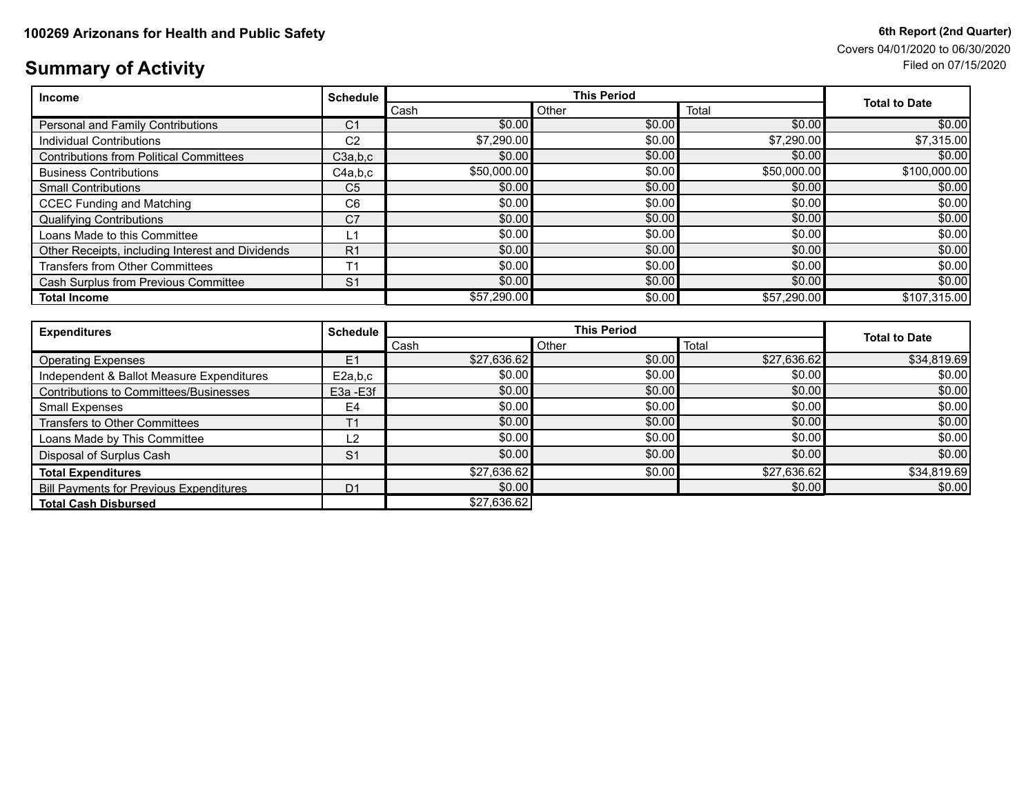# Covers 04/01/2020 to 06/30/2020

# **Summary of Activity** Filed on 07/15/2020

| <b>Income</b>                                    | <b>Schedule</b> | <b>This Period</b> |        |             | <b>Total to Date</b> |
|--------------------------------------------------|-----------------|--------------------|--------|-------------|----------------------|
|                                                  |                 | Cash               | Other  | Total       |                      |
| Personal and Family Contributions                | C <sub>1</sub>  | \$0.00             | \$0.00 | \$0.00      | \$0.00               |
| Individual Contributions                         | C <sub>2</sub>  | \$7,290.00         | \$0.00 | \$7,290.00  | \$7,315.00           |
| <b>Contributions from Political Committees</b>   | C3a,b,c         | \$0.00             | \$0.00 | \$0.00      | \$0.00               |
| <b>Business Contributions</b>                    | C4a.b.c         | \$50,000.00        | \$0.00 | \$50,000.00 | \$100,000.00         |
| <b>Small Contributions</b>                       | C <sub>5</sub>  | \$0.00             | \$0.00 | \$0.00      | \$0.00               |
| <b>CCEC Funding and Matching</b>                 | C <sub>6</sub>  | \$0.00             | \$0.00 | \$0.00      | \$0.00               |
| <b>Qualifying Contributions</b>                  | C <sub>7</sub>  | \$0.00             | \$0.00 | \$0.00      | \$0.00               |
| Loans Made to this Committee                     | 1ء              | \$0.00             | \$0.00 | \$0.00      | \$0.00               |
| Other Receipts, including Interest and Dividends | R <sub>1</sub>  | \$0.00             | \$0.00 | \$0.00      | \$0.00               |
| <b>Transfers from Other Committees</b>           | T <sub>1</sub>  | \$0.00             | \$0.00 | \$0.00      | \$0.00               |
| Cash Surplus from Previous Committee             | S <sub>1</sub>  | \$0.00             | \$0.00 | \$0.00      | \$0.00               |
| <b>Total Income</b>                              |                 | \$57,290.00        | \$0.00 | \$57,290.00 | \$107,315.00         |

| <b>Expenditures</b>                            | <b>Schedule</b> | <b>This Period</b> |        |             |                      |
|------------------------------------------------|-----------------|--------------------|--------|-------------|----------------------|
|                                                |                 | Cash               | Other  | Total       | <b>Total to Date</b> |
| <b>Operating Expenses</b>                      | E1              | \$27,636.62        | \$0.00 | \$27,636.62 | \$34,819.69          |
| Independent & Ballot Measure Expenditures      | E2a,b,c         | \$0.00             | \$0.00 | \$0.00      | \$0.00               |
| Contributions to Committees/Businesses         | E3a - E3f       | \$0.00             | \$0.00 | \$0.00      | \$0.00]              |
| Small Expenses                                 | E <sub>4</sub>  | \$0.00             | \$0.00 | \$0.00      | \$0.00               |
| <b>Transfers to Other Committees</b>           | T1              | \$0.00             | \$0.00 | \$0.00      | \$0.00               |
| Loans Made by This Committee                   | L2              | \$0.00             | \$0.00 | \$0.00      | \$0.00               |
| Disposal of Surplus Cash                       | S <sub>1</sub>  | \$0.00             | \$0.00 | \$0.00      | \$0.00               |
| <b>Total Expenditures</b>                      |                 | \$27,636.62        | \$0.00 | \$27,636.62 | \$34,819.69          |
| <b>Bill Payments for Previous Expenditures</b> | D <sub>1</sub>  | \$0.00             |        | \$0.00      | \$0.00               |
| <b>Total Cash Disbursed</b>                    |                 | \$27,636.62        |        |             |                      |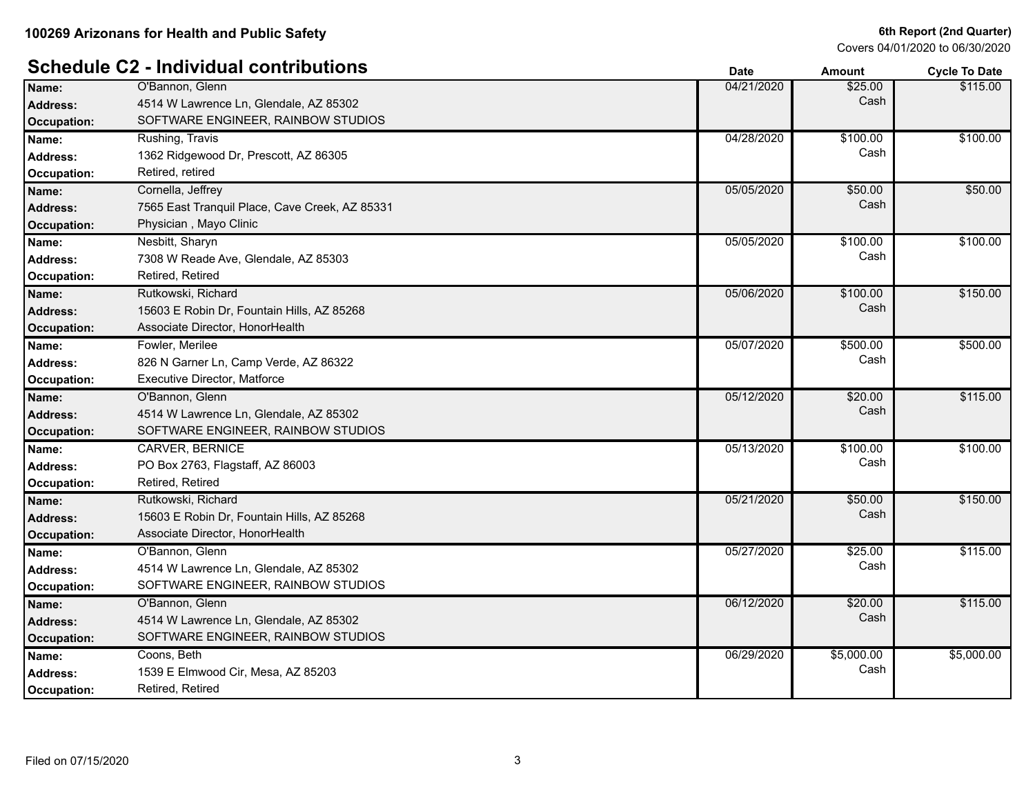# **Schedule C2 - Individual contributions Date Amount Cycle To Date**

Covers 04/01/2020 to 06/30/2020

|                    | Schedule C2 - Individual contributions         | <b>Date</b> | <b>Amount</b> | <b>Cycle To Date</b> |
|--------------------|------------------------------------------------|-------------|---------------|----------------------|
| Name:              | O'Bannon, Glenn                                | 04/21/2020  | \$25.00       | \$115.00             |
| <b>Address:</b>    | 4514 W Lawrence Ln, Glendale, AZ 85302         |             | Cash          |                      |
| <b>Occupation:</b> | SOFTWARE ENGINEER, RAINBOW STUDIOS             |             |               |                      |
| Name:              | Rushing, Travis                                | 04/28/2020  | \$100.00      | \$100.00             |
| <b>Address:</b>    | 1362 Ridgewood Dr, Prescott, AZ 86305          |             | Cash          |                      |
| Occupation:        | Retired, retired                               |             |               |                      |
| Name:              | Cornella, Jeffrey                              | 05/05/2020  | \$50.00       | \$50.00              |
| <b>Address:</b>    | 7565 East Tranquil Place, Cave Creek, AZ 85331 |             | Cash          |                      |
| Occupation:        | Physician, Mayo Clinic                         |             |               |                      |
| Name:              | Nesbitt, Sharyn                                | 05/05/2020  | \$100.00      | \$100.00             |
| <b>Address:</b>    | 7308 W Reade Ave, Glendale, AZ 85303           |             | Cash          |                      |
| Occupation:        | Retired, Retired                               |             |               |                      |
| Name:              | Rutkowski, Richard                             | 05/06/2020  | \$100.00      | \$150.00             |
| <b>Address:</b>    | 15603 E Robin Dr, Fountain Hills, AZ 85268     |             | Cash          |                      |
| <b>Occupation:</b> | Associate Director, HonorHealth                |             |               |                      |
| Name:              | Fowler, Merilee                                | 05/07/2020  | \$500.00      | \$500.00             |
| <b>Address:</b>    | 826 N Garner Ln, Camp Verde, AZ 86322          |             | Cash          |                      |
| <b>Occupation:</b> | Executive Director, Matforce                   |             |               |                      |
| Name:              | O'Bannon, Glenn                                | 05/12/2020  | \$20.00       | \$115.00             |
| <b>Address:</b>    | 4514 W Lawrence Ln, Glendale, AZ 85302         |             | Cash          |                      |
| <b>Occupation:</b> | SOFTWARE ENGINEER, RAINBOW STUDIOS             |             |               |                      |
| Name:              | <b>CARVER, BERNICE</b>                         | 05/13/2020  | \$100.00      | \$100.00             |
| Address:           | PO Box 2763, Flagstaff, AZ 86003               |             | Cash          |                      |
| Occupation:        | Retired, Retired                               |             |               |                      |
| Name:              | Rutkowski, Richard                             | 05/21/2020  | \$50.00       | \$150.00             |
| <b>Address:</b>    | 15603 E Robin Dr, Fountain Hills, AZ 85268     |             | Cash          |                      |
| Occupation:        | Associate Director, HonorHealth                |             |               |                      |
| Name:              | O'Bannon, Glenn                                | 05/27/2020  | \$25.00       | \$115.00             |
| <b>Address:</b>    | 4514 W Lawrence Ln, Glendale, AZ 85302         |             | Cash          |                      |
| Occupation:        | SOFTWARE ENGINEER, RAINBOW STUDIOS             |             |               |                      |
| Name:              | O'Bannon, Glenn                                | 06/12/2020  | \$20.00       | \$115.00             |
| <b>Address:</b>    | 4514 W Lawrence Ln, Glendale, AZ 85302         |             | Cash          |                      |
| <b>Occupation:</b> | SOFTWARE ENGINEER, RAINBOW STUDIOS             |             |               |                      |
| Name:              | Coons, Beth                                    | 06/29/2020  | \$5,000.00    | \$5,000.00           |
| <b>Address:</b>    | 1539 E Elmwood Cir, Mesa, AZ 85203             |             | Cash          |                      |
| Occupation:        | Retired, Retired                               |             |               |                      |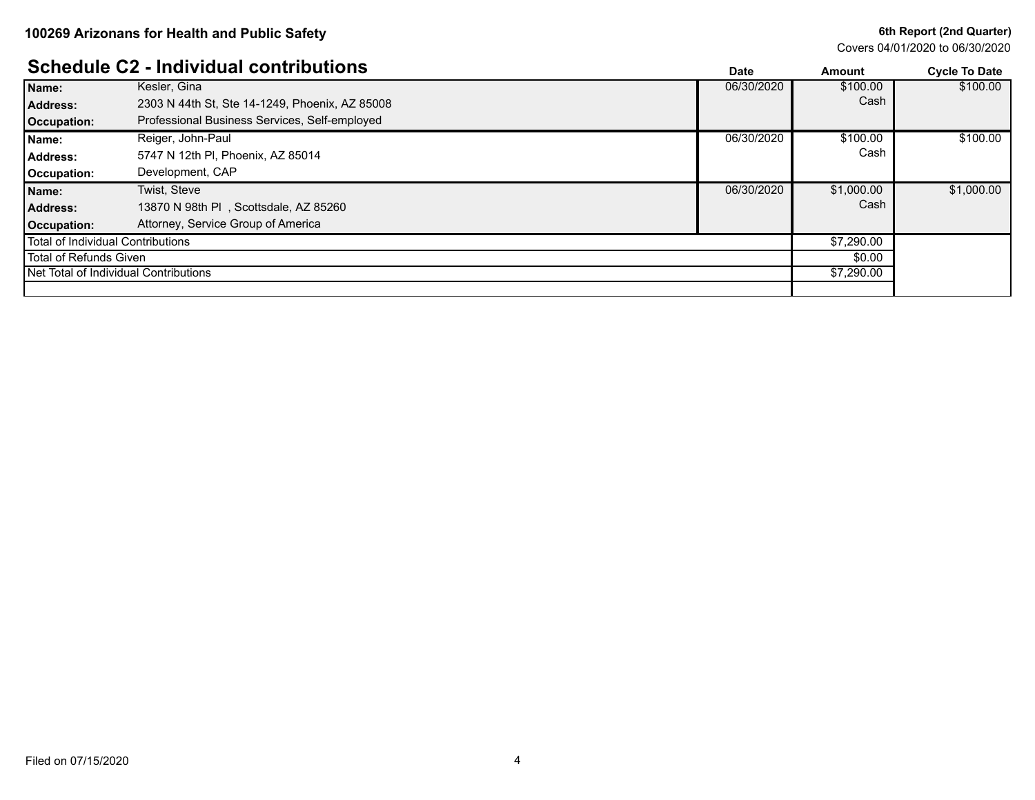### **6th Report (2nd Quarter)**

Covers 04/01/2020 to 06/30/2020

|                                   | <b>Schedule C2 - Individual contributions</b>  | Date       | Amount     | <b>Cycle To Date</b> |
|-----------------------------------|------------------------------------------------|------------|------------|----------------------|
| Name:                             | Kesler, Gina                                   | 06/30/2020 | \$100.00   | \$100.00             |
| Address:                          | 2303 N 44th St, Ste 14-1249, Phoenix, AZ 85008 |            | Cash       |                      |
| Occupation:                       | Professional Business Services, Self-employed  |            |            |                      |
| Name:                             | Reiger, John-Paul                              | 06/30/2020 | \$100.00   | \$100.00             |
| Address:                          | 5747 N 12th PI, Phoenix, AZ 85014              |            | Cash       |                      |
| Occupation:                       | Development, CAP                               |            |            |                      |
| Name:                             | Twist. Steve                                   | 06/30/2020 | \$1,000.00 | \$1,000.00           |
| Address:                          | 13870 N 98th PI, Scottsdale, AZ 85260          |            | Cash       |                      |
| <b>Occupation:</b>                | Attorney, Service Group of America             |            |            |                      |
| Total of Individual Contributions |                                                | \$7,290.00 |            |                      |
| Total of Refunds Given            |                                                |            | \$0.00     |                      |
|                                   | <b>Net Total of Individual Contributions</b>   |            | \$7,290.00 |                      |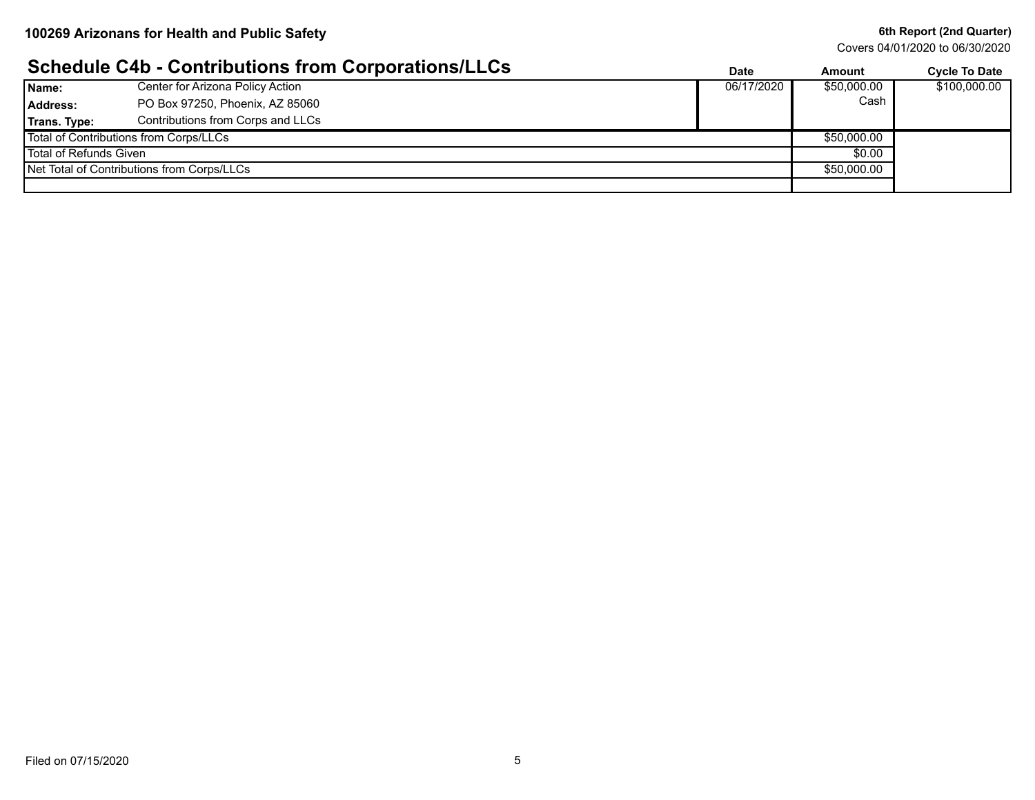#### **6th Report (2nd Quarter)**

Covers 04/01/2020 to 06/30/2020

# **Schedule C4b - Contributions from Corporations/LLCs Date Date Amount Cycle To Date**

|                                            |                                        | Dalc       | Allivulit   | <b>OVLIG</b> TO DATE |
|--------------------------------------------|----------------------------------------|------------|-------------|----------------------|
| Name:                                      | Center for Arizona Policy Action       | 06/17/2020 | \$50,000.00 | \$100,000.00         |
| Address:                                   | PO Box 97250, Phoenix, AZ 85060        |            | Cash        |                      |
| Trans. Type:                               | Contributions from Corps and LLCs      |            |             |                      |
|                                            | Total of Contributions from Corps/LLCs |            | \$50,000.00 |                      |
| Total of Refunds Given                     |                                        | \$0.00     |             |                      |
| Net Total of Contributions from Corps/LLCs |                                        |            | \$50,000.00 |                      |
|                                            |                                        |            |             |                      |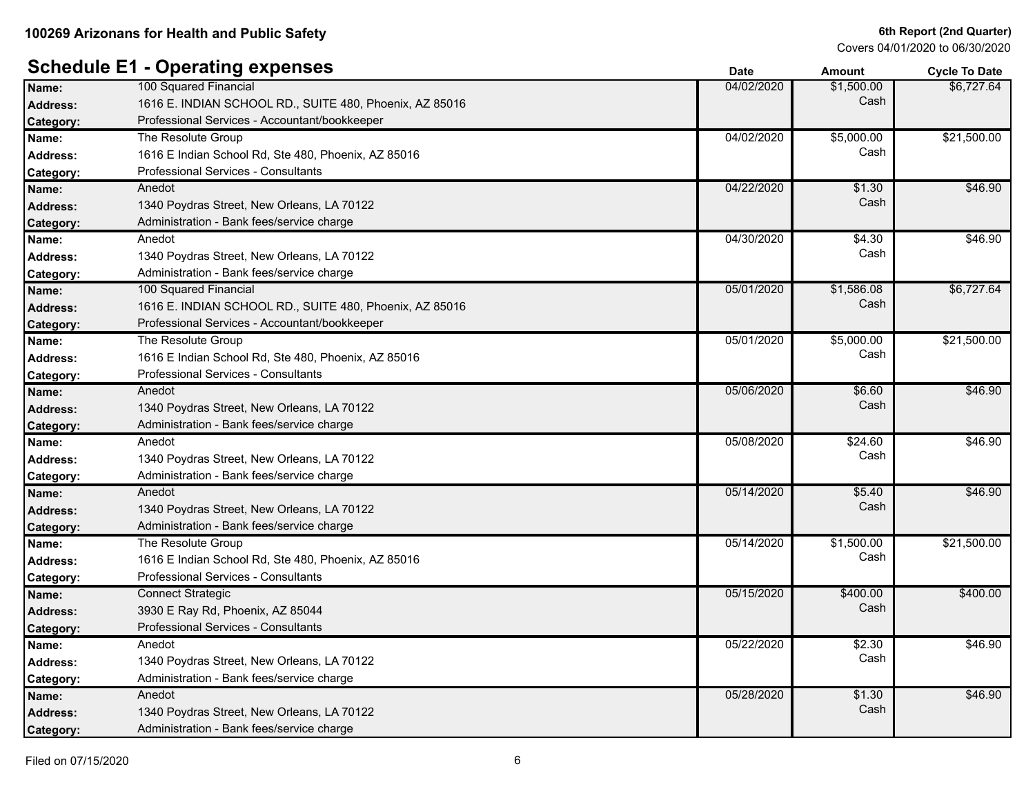Covers 04/01/2020 to 06/30/2020

# **Schedule E1 - Operating expenses**

|                 |                                                         | Pale       | Allivulit  | oyuu iy balu |
|-----------------|---------------------------------------------------------|------------|------------|--------------|
| Name:           | 100 Squared Financial                                   | 04/02/2020 | \$1,500.00 | \$6,727.64   |
| Address:        | 1616 E. INDIAN SCHOOL RD., SUITE 480, Phoenix, AZ 85016 |            | Cash       |              |
| Category:       | Professional Services - Accountant/bookkeeper           |            |            |              |
| Name:           | The Resolute Group                                      | 04/02/2020 | \$5,000.00 | \$21,500.00  |
| <b>Address:</b> | 1616 E Indian School Rd, Ste 480, Phoenix, AZ 85016     |            | Cash       |              |
| Category:       | Professional Services - Consultants                     |            |            |              |
| Name:           | Anedot                                                  | 04/22/2020 | \$1.30     | \$46.90      |
| <b>Address:</b> | 1340 Poydras Street, New Orleans, LA 70122              |            | Cash       |              |
| Category:       | Administration - Bank fees/service charge               |            |            |              |
| Name:           | Anedot                                                  | 04/30/2020 | \$4.30     | \$46.90      |
| <b>Address:</b> | 1340 Poydras Street, New Orleans, LA 70122              |            | Cash       |              |
| Category:       | Administration - Bank fees/service charge               |            |            |              |
| Name:           | 100 Squared Financial                                   | 05/01/2020 | \$1,586.08 | \$6,727.64   |
| <b>Address:</b> | 1616 E. INDIAN SCHOOL RD., SUITE 480, Phoenix, AZ 85016 |            | Cash       |              |
| Category:       | Professional Services - Accountant/bookkeeper           |            |            |              |
| Name:           | The Resolute Group                                      | 05/01/2020 | \$5,000.00 | \$21,500.00  |
| <b>Address:</b> | 1616 E Indian School Rd, Ste 480, Phoenix, AZ 85016     |            | Cash       |              |
| Category:       | Professional Services - Consultants                     |            |            |              |
| Name:           | Anedot                                                  | 05/06/2020 | \$6.60     | \$46.90      |
| <b>Address:</b> | 1340 Poydras Street, New Orleans, LA 70122              |            | Cash       |              |
| Category:       | Administration - Bank fees/service charge               |            |            |              |
| Name:           | Anedot                                                  | 05/08/2020 | \$24.60    | \$46.90      |
| <b>Address:</b> | 1340 Poydras Street, New Orleans, LA 70122              |            | Cash       |              |
| Category:       | Administration - Bank fees/service charge               |            |            |              |
| Name:           | Anedot                                                  | 05/14/2020 | \$5.40     | \$46.90      |
| <b>Address:</b> | 1340 Poydras Street, New Orleans, LA 70122              |            | Cash       |              |
| Category:       | Administration - Bank fees/service charge               |            |            |              |
| Name:           | The Resolute Group                                      | 05/14/2020 | \$1,500.00 | \$21,500.00  |
| <b>Address:</b> | 1616 E Indian School Rd, Ste 480, Phoenix, AZ 85016     |            | Cash       |              |
| Category:       | Professional Services - Consultants                     |            |            |              |
| Name:           | <b>Connect Strategic</b>                                | 05/15/2020 | \$400.00   | \$400.00     |
| <b>Address:</b> | 3930 E Ray Rd, Phoenix, AZ 85044                        |            | Cash       |              |
| Category:       | Professional Services - Consultants                     |            |            |              |
| Name:           | Anedot                                                  | 05/22/2020 | \$2.30     | \$46.90      |
| <b>Address:</b> | 1340 Poydras Street, New Orleans, LA 70122              |            | Cash       |              |
| Category:       | Administration - Bank fees/service charge               |            |            |              |
| Name:           | Anedot                                                  | 05/28/2020 | \$1.30     | \$46.90      |
| <b>Address:</b> | 1340 Poydras Street, New Orleans, LA 70122              |            | Cash       |              |
| Category:       | Administration - Bank fees/service charge               |            |            |              |